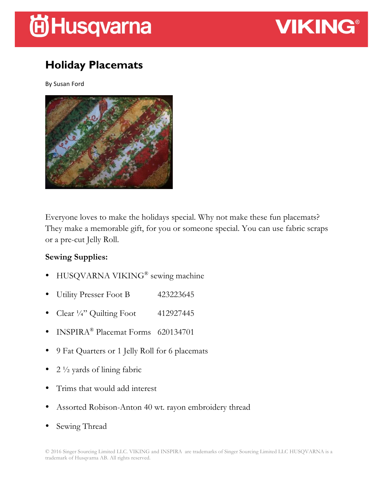# **间Husqvarna**



## **Holiday Placemats**

By Susan Ford



Everyone loves to make the holidays special. Why not make these fun placemats? They make a memorable gift, for you or someone special. You can use fabric scraps or a pre-cut Jelly Roll.

#### **Sewing Supplies:**

- HUSQVARNA VIKING<sup>®</sup> sewing machine
- Utility Presser Foot B 423223645
- Clear  $\frac{1}{4}$ " Quilting Foot 412927445
- INSPIRA® Placemat Forms 620134701
- 9 Fat Quarters or 1 Jelly Roll for 6 placemats
- 2  $\frac{1}{2}$  yards of lining fabric
- Trims that would add interest
- Assorted Robison-Anton 40 wt. rayon embroidery thread
- Sewing Thread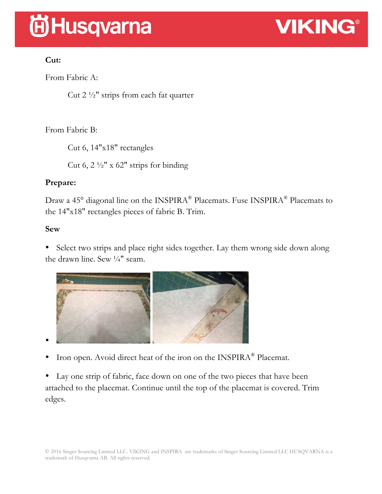# **尚Husqvarna**



### **Cut:**

From Fabric A:

Cut 2 ½" strips from each fat quarter

### From Fabric B:

Cut 6, 14"x18" rectangles

Cut 6, 2  $\frac{1}{2}$ " x 62" strips for binding

### **Prepare:**

Draw a 45° diagonal line on the INSPIRA<sup>®</sup> Placemats. Fuse INSPIRA<sup>®</sup> Placemats to the 14"x18" rectangles pieces of fabric B. Trim.

### **Sew**

• Select two strips and place right sides together. Lay them wrong side down along the drawn line. Sew  $\frac{1}{4}$ " seam.



• Iron open. Avoid direct heat of the iron on the INSPIRA® Placemat.

• Lay one strip of fabric, face down on one of the two pieces that have been attached to the placemat. Continue until the top of the placemat is covered. Trim edges.